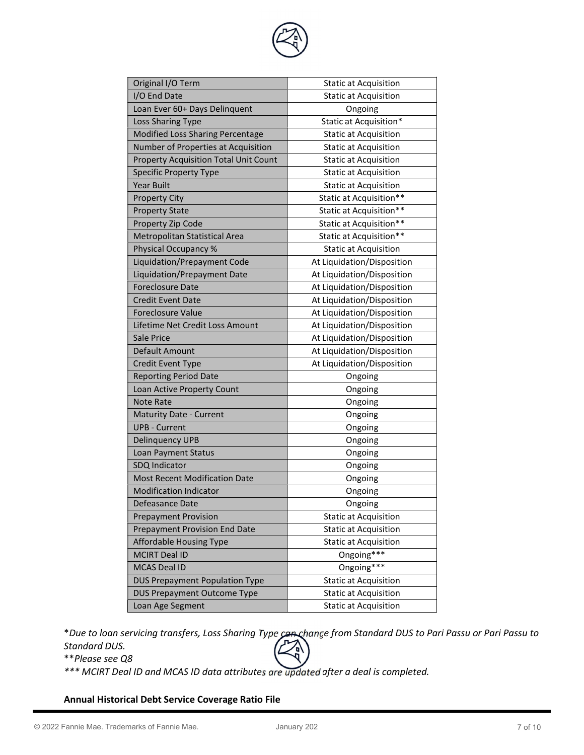

| Original I/O Term                                                                                                                              | <b>Static at Acquisition</b>                                                                                             |
|------------------------------------------------------------------------------------------------------------------------------------------------|--------------------------------------------------------------------------------------------------------------------------|
| I/O End Date                                                                                                                                   | <b>Static at Acquisition</b>                                                                                             |
| Loan Ever 60+ Days Delinquent                                                                                                                  | Ongoing                                                                                                                  |
| Loss Sharing Type                                                                                                                              | Static at Acquisition*                                                                                                   |
| Modified Loss Sharing Percentage                                                                                                               | <b>Static at Acquisition</b>                                                                                             |
|                                                                                                                                                |                                                                                                                          |
| Number of Properties at Acquisition                                                                                                            | <b>Static at Acquisition</b>                                                                                             |
| <b>Property Acquisition Total Unit Count</b>                                                                                                   | <b>Static at Acquisition</b>                                                                                             |
| <b>Specific Property Type</b>                                                                                                                  | <b>Static at Acquisition</b>                                                                                             |
| <b>Year Built</b>                                                                                                                              | <b>Static at Acquisition</b>                                                                                             |
| <b>Property City</b>                                                                                                                           | Static at Acquisition**                                                                                                  |
| <b>Property State</b>                                                                                                                          | Static at Acquisition**                                                                                                  |
| Property Zip Code                                                                                                                              | Static at Acquisition**                                                                                                  |
| Metropolitan Statistical Area                                                                                                                  | Static at Acquisition**                                                                                                  |
| Physical Occupancy %                                                                                                                           | <b>Static at Acquisition</b>                                                                                             |
| Liquidation/Prepayment Code                                                                                                                    | At Liquidation/Disposition                                                                                               |
| Liquidation/Prepayment Date                                                                                                                    | At Liquidation/Disposition                                                                                               |
| <b>Foreclosure Date</b>                                                                                                                        | At Liquidation/Disposition                                                                                               |
| <b>Credit Event Date</b>                                                                                                                       | At Liquidation/Disposition                                                                                               |
| <b>Foreclosure Value</b>                                                                                                                       | At Liquidation/Disposition                                                                                               |
| Lifetime Net Credit Loss Amount                                                                                                                | At Liquidation/Disposition                                                                                               |
| Sale Price                                                                                                                                     | At Liquidation/Disposition                                                                                               |
| Default Amount                                                                                                                                 | At Liquidation/Disposition                                                                                               |
| <b>Credit Event Type</b>                                                                                                                       | At Liquidation/Disposition                                                                                               |
| <b>Reporting Period Date</b>                                                                                                                   | Ongoing                                                                                                                  |
| Loan Active Property Count                                                                                                                     | Ongoing                                                                                                                  |
| <b>Note Rate</b>                                                                                                                               | Ongoing                                                                                                                  |
| <b>Maturity Date - Current</b>                                                                                                                 | Ongoing                                                                                                                  |
| <b>UPB - Current</b>                                                                                                                           | Ongoing                                                                                                                  |
| <b>Delinquency UPB</b>                                                                                                                         | Ongoing                                                                                                                  |
| Loan Payment Status                                                                                                                            | Ongoing                                                                                                                  |
| SDQ Indicator                                                                                                                                  | Ongoing                                                                                                                  |
| <b>Most Recent Modification Date</b>                                                                                                           | Ongoing                                                                                                                  |
| <b>Modification Indicator</b>                                                                                                                  | Ongoing                                                                                                                  |
| Defeasance Date                                                                                                                                | Ongoing                                                                                                                  |
| <b>Prepayment Provision</b>                                                                                                                    | <b>Static at Acquisition</b>                                                                                             |
| <b>Prepayment Provision End Date</b>                                                                                                           | <b>Static at Acquisition</b>                                                                                             |
| <b>Affordable Housing Type</b>                                                                                                                 | <b>Static at Acquisition</b>                                                                                             |
|                                                                                                                                                |                                                                                                                          |
|                                                                                                                                                |                                                                                                                          |
|                                                                                                                                                |                                                                                                                          |
|                                                                                                                                                |                                                                                                                          |
|                                                                                                                                                |                                                                                                                          |
| <b>MCIRT Deal ID</b><br><b>MCAS Deal ID</b><br><b>DUS Prepayment Population Type</b><br><b>DUS Prepayment Outcome Type</b><br>Loan Age Segment | Ongoing***<br>Ongoing***<br><b>Static at Acquisition</b><br><b>Static at Acquisition</b><br><b>Static at Acquisition</b> |

\*Due to loan servicing transfers, Loss Sharing Type can change from Standard DUS to Pari Passu or Pari Passu to Standard DUS.

\*\*Please see Q8

\*\*\* MCIRT Deal ID and MCAS ID data attributes are updated after a deal is completed.

# Annual Historical Debt Service Coverage Ratio File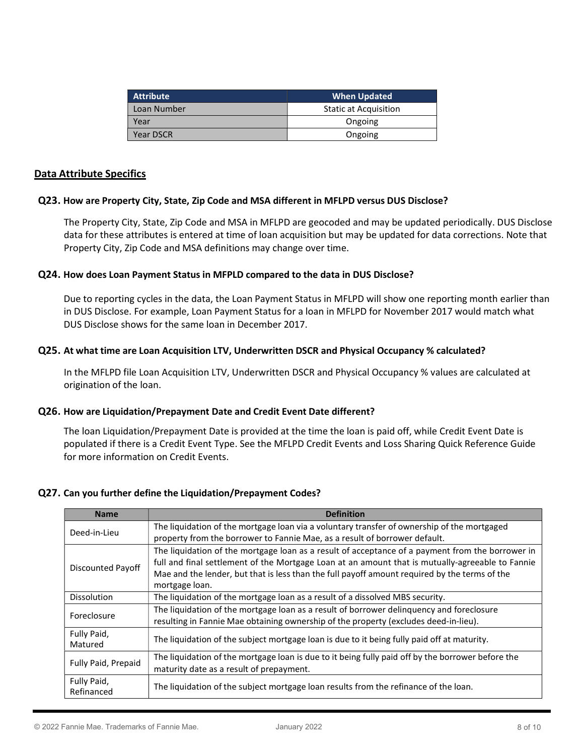| <b>Attribute</b> | <b>When Updated</b>          |
|------------------|------------------------------|
| Loan Number      | <b>Static at Acquisition</b> |
| Year             | Ongoing                      |
| Year DSCR        | Ongoing                      |

#### Data Attribute Specifics

#### Q23. How are Property City, State, Zip Code and MSA different in MFLPD versus DUS Disclose?

The Property City, State, Zip Code and MSA in MFLPD are geocoded and may be updated periodically. DUS Disclose data for these attributes is entered at time of loan acquisition but may be updated for data corrections. Note that Property City, Zip Code and MSA definitions may change over time.

#### Q24. How does Loan Payment Status in MFPLD compared to the data in DUS Disclose?

Due to reporting cycles in the data, the Loan Payment Status in MFLPD will show one reporting month earlier than in DUS Disclose. For example, Loan Payment Status for a loan in MFLPD for November 2017 would match what DUS Disclose shows for the same loan in December 2017.

#### Q25. At what time are Loan Acquisition LTV, Underwritten DSCR and Physical Occupancy % calculated?

In the MFLPD file Loan Acquisition LTV, Underwritten DSCR and Physical Occupancy % values are calculated at origination of the loan.

## Q26. How are Liquidation/Prepayment Date and Credit Event Date different?

The loan Liquidation/Prepayment Date is provided at the time the loan is paid off, while Credit Event Date is populated if there is a Credit Event Type. See the MFLPD Credit Events and Loss Sharing Quick Reference Guide for more information on Credit Events.

## Q27. Can you further define the Liquidation/Prepayment Codes?

| <b>Name</b>               | <b>Definition</b>                                                                                 |
|---------------------------|---------------------------------------------------------------------------------------------------|
| Deed-in-Lieu              | The liquidation of the mortgage loan via a voluntary transfer of ownership of the mortgaged       |
|                           | property from the borrower to Fannie Mae, as a result of borrower default.                        |
| <b>Discounted Payoff</b>  | The liquidation of the mortgage loan as a result of acceptance of a payment from the borrower in  |
|                           | full and final settlement of the Mortgage Loan at an amount that is mutually-agreeable to Fannie  |
|                           | Mae and the lender, but that is less than the full payoff amount required by the terms of the     |
|                           | mortgage loan.                                                                                    |
| <b>Dissolution</b>        | The liquidation of the mortgage loan as a result of a dissolved MBS security.                     |
| Foreclosure               | The liquidation of the mortgage loan as a result of borrower delinquency and foreclosure          |
|                           | resulting in Fannie Mae obtaining ownership of the property (excludes deed-in-lieu).              |
| Fully Paid,<br>Matured    | The liquidation of the subject mortgage loan is due to it being fully paid off at maturity.       |
| Fully Paid, Prepaid       | The liquidation of the mortgage loan is due to it being fully paid off by the borrower before the |
|                           | maturity date as a result of prepayment.                                                          |
| Fully Paid,<br>Refinanced | The liquidation of the subject mortgage loan results from the refinance of the loan.              |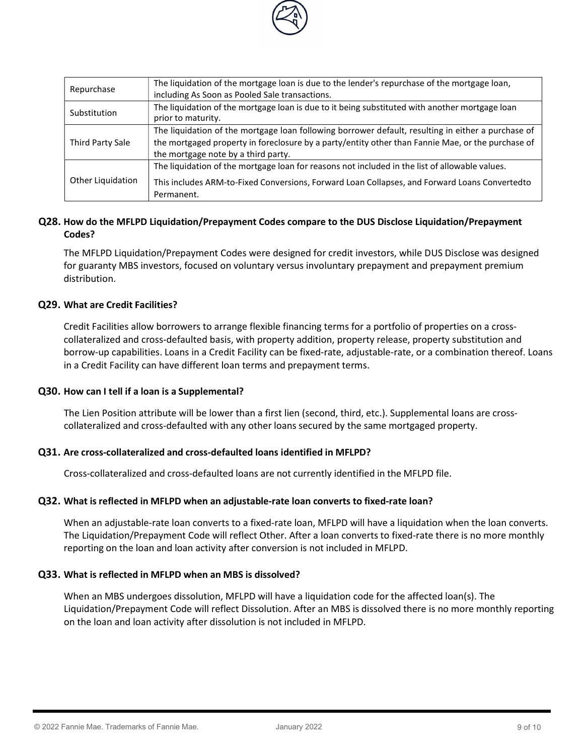

| Repurchase        | The liquidation of the mortgage loan is due to the lender's repurchase of the mortgage loan,<br>including As Soon as Pooled Sale transactions.                                                                                                 |
|-------------------|------------------------------------------------------------------------------------------------------------------------------------------------------------------------------------------------------------------------------------------------|
| Substitution      | The liquidation of the mortgage loan is due to it being substituted with another mortgage loan<br>prior to maturity.                                                                                                                           |
| Third Party Sale  | The liquidation of the mortgage loan following borrower default, resulting in either a purchase of<br>the mortgaged property in foreclosure by a party/entity other than Fannie Mae, or the purchase of<br>the mortgage note by a third party. |
| Other Liquidation | The liquidation of the mortgage loan for reasons not included in the list of allowable values.<br>This includes ARM-to-Fixed Conversions, Forward Loan Collapses, and Forward Loans Convertedto<br>Permanent.                                  |

# Q28. How do the MFLPD Liquidation/Prepayment Codes compare to the DUS Disclose Liquidation/Prepayment Codes?

The MFLPD Liquidation/Prepayment Codes were designed for credit investors, while DUS Disclose was designed for guaranty MBS investors, focused on voluntary versus involuntary prepayment and prepayment premium distribution.

## Q29. What are Credit Facilities?

Credit Facilities allow borrowers to arrange flexible financing terms for a portfolio of properties on a crosscollateralized and cross-defaulted basis, with property addition, property release, property substitution and borrow-up capabilities. Loans in a Credit Facility can be fixed-rate, adjustable-rate, or a combination thereof. Loans in a Credit Facility can have different loan terms and prepayment terms.

## Q30. How can I tell if a loan is a Supplemental?

The Lien Position attribute will be lower than a first lien (second, third, etc.). Supplemental loans are crosscollateralized and cross-defaulted with any other loans secured by the same mortgaged property.

## Q31. Are cross-collateralized and cross-defaulted loans identified in MFLPD?

Cross-collateralized and cross-defaulted loans are not currently identified in the MFLPD file.

## Q32. What is reflected in MFLPD when an adjustable-rate loan converts to fixed-rate loan?

When an adjustable-rate loan converts to a fixed-rate loan, MFLPD will have a liquidation when the loan converts. The Liquidation/Prepayment Code will reflect Other. After a loan converts to fixed-rate there is no more monthly reporting on the loan and loan activity after conversion is not included in MFLPD.

## Q33. What is reflected in MFLPD when an MBS is dissolved?

When an MBS undergoes dissolution, MFLPD will have a liquidation code for the affected loan(s). The Liquidation/Prepayment Code will reflect Dissolution. After an MBS is dissolved there is no more monthly reporting on the loan and loan activity after dissolution is not included in MFLPD.